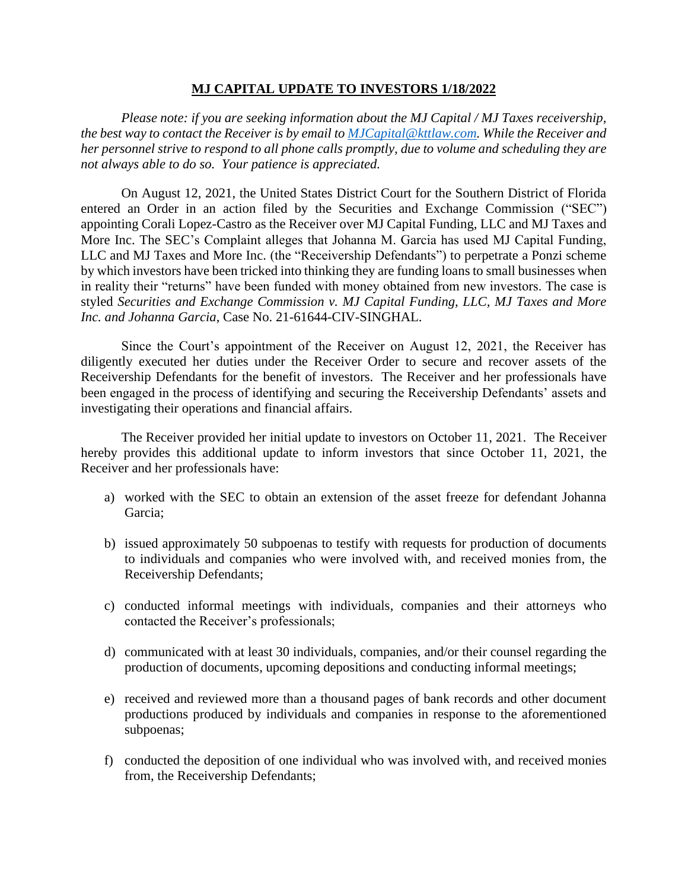## **MJ CAPITAL UPDATE TO INVESTORS 1/18/2022**

*Please note: if you are seeking information about the MJ Capital / MJ Taxes receivership, the best way to contact the Receiver is by email to [MJCapital@kttlaw.com.](mailto:MJCapital@kttlaw.com) While the Receiver and her personnel strive to respond to all phone calls promptly, due to volume and scheduling they are not always able to do so. Your patience is appreciated.* 

On August 12, 2021, the United States District Court for the Southern District of Florida entered an Order in an action filed by the Securities and Exchange Commission ("SEC") appointing Corali Lopez-Castro as the Receiver over MJ Capital Funding, LLC and MJ Taxes and More Inc. The SEC's Complaint alleges that Johanna M. Garcia has used MJ Capital Funding, LLC and MJ Taxes and More Inc. (the "Receivership Defendants") to perpetrate a Ponzi scheme by which investors have been tricked into thinking they are funding loans to small businesses when in reality their "returns" have been funded with money obtained from new investors. The case is styled *Securities and Exchange Commission v. MJ Capital Funding, LLC, MJ Taxes and More Inc. and Johanna Garcia*, Case No. 21-61644-CIV-SINGHAL.

Since the Court's appointment of the Receiver on August 12, 2021, the Receiver has diligently executed her duties under the Receiver Order to secure and recover assets of the Receivership Defendants for the benefit of investors. The Receiver and her professionals have been engaged in the process of identifying and securing the Receivership Defendants' assets and investigating their operations and financial affairs.

The Receiver provided her initial update to investors on October 11, 2021. The Receiver hereby provides this additional update to inform investors that since October 11, 2021, the Receiver and her professionals have:

- a) worked with the SEC to obtain an extension of the asset freeze for defendant Johanna Garcia;
- b) issued approximately 50 subpoenas to testify with requests for production of documents to individuals and companies who were involved with, and received monies from, the Receivership Defendants;
- c) conducted informal meetings with individuals, companies and their attorneys who contacted the Receiver's professionals;
- d) communicated with at least 30 individuals, companies, and/or their counsel regarding the production of documents, upcoming depositions and conducting informal meetings;
- e) received and reviewed more than a thousand pages of bank records and other document productions produced by individuals and companies in response to the aforementioned subpoenas;
- f) conducted the deposition of one individual who was involved with, and received monies from, the Receivership Defendants;